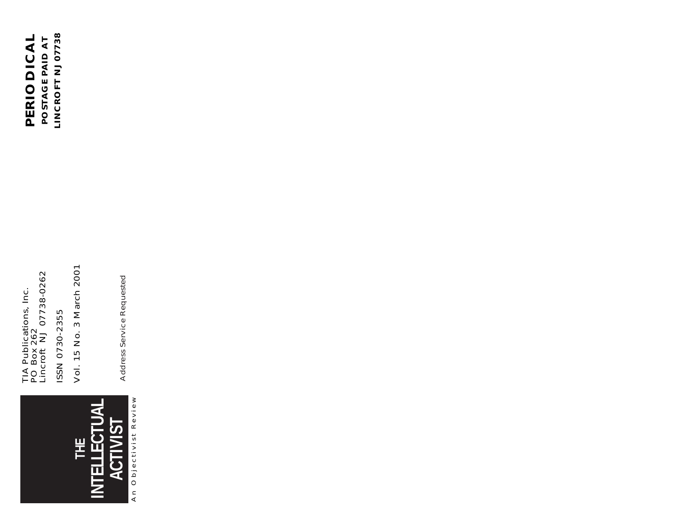

TIA Publications, Inc.<br>PO Box 262<br>Lincroft NJ 07738-0262 Lincroft NJ 07738-0262 TIA Publications, Inc. ISSN 0730-2355 ISSN 0730-2355 PO Box 262

Vol. 15 No. 3 March 2001 Vol. 15 No. 3 March 2001

Address Service Requested Address Service Requested

LINCROFT NJ 07738 PERIODICAL **LINCROFT NJ 07738 PERIODICAL** POSTAGE PAID AT **POSTAGE PAID AT**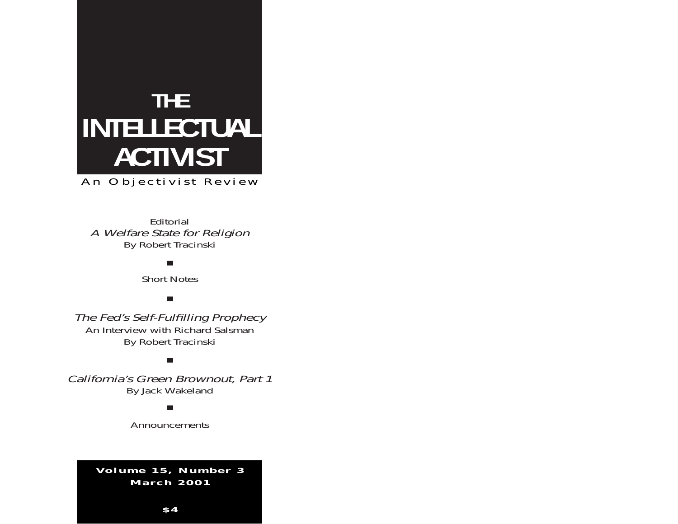## **THE INTELLECTUAL ACTIVIST**

An Objectivist Review

Editorial A Welfare State for Religion By Robert Tracinski

■

Short Notes

■

The Fed's Self-Fulfilling Prophecy An Interview with Richard Salsman By Robert Tracinski

■

California's Green Brownout, Part 1 By Jack Wakeland

■

Announcements

**Volume 15, Number 3 March 2001**

**\$ 4**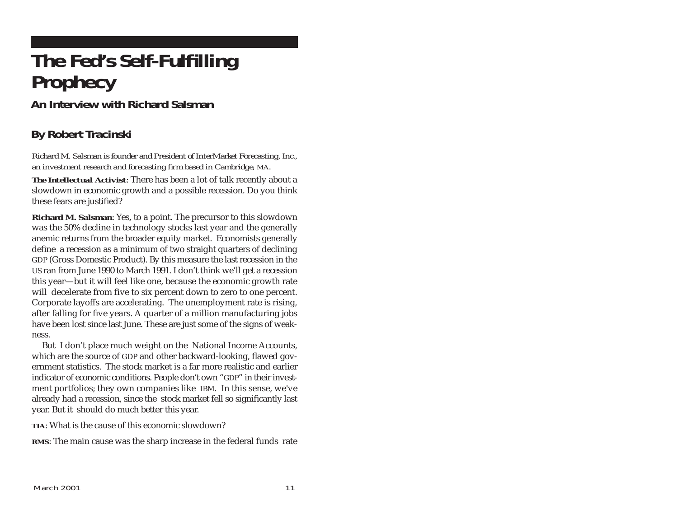## **The Fed's Self-Fulfilling Prophecy**

**An Interview with Richard Salsman**

## **By Robert Tracinski**

*Richard M. Salsman is founder and President of InterMarket Forecasting, Inc., an investment research and forecasting firm based in Cambridge, MA.*

*The Intellectual Activist*: There has been a lot of talk recently about a slowdown in economic growth and a possible recession. Do you think these fears are justified?

**Richard M. Salsman**: Yes, to a point. The precursor to this slowdown was the 50% decline in technology stocks last year and the generally anemic returns from the broader equity market. Economists generally define a recession as a minimum of two straight quarters of declining GDP (Gross Domestic Product). By this measure the last recession in the US ran from June 1990 to March 1991. I don't think we'll get a recession this year—but it will feel like one, because the economic growth rate will decelerate from five to six percent down to zero to one percent. Corporate layoffs are accelerating. The unemployment rate is rising, after falling for five years. A quarter of a million manufacturing jobs have been lost since last June. These are just some of the signs of weakness.

But I don't place much weight on the National Income Accounts, which are the source of GDP and other backward-looking, flawed government statistics. The stock market is a far more realistic and earlier indicator of economic conditions. People don't own "GDP" in their investment portfolios; they own companies like IBM. In this sense, we've already had a recession, since the stock market fell so significantly last year. But it should do much better this year.

**TIA**: What is the cause of this economic slowdown?

**RMS**: The main cause was the sharp increase in the federal funds rate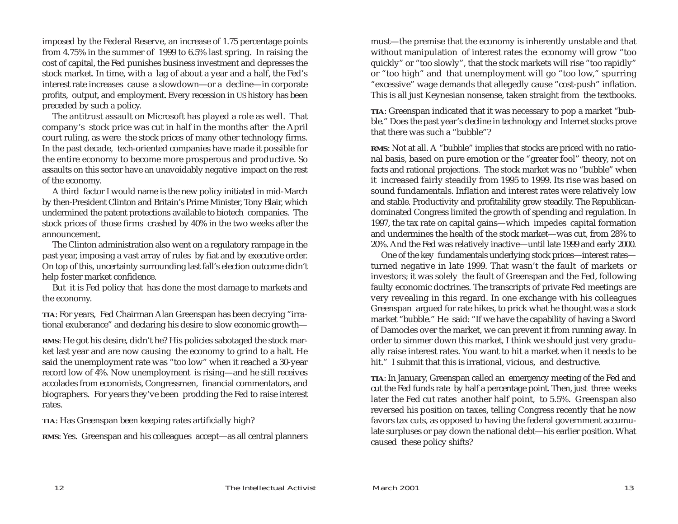imposed by the Federal Reserve, an increase of 1.75 percentage points from 4.75% in the summer of 1999 to 6.5% last spring. In raising the cost of capital, the Fed punishes business investment and depresses the stock market. In time, with a lag of about a year and a half, the Fed's interest rate increases cause a slowdown—or a decline—in corporate profits, output, and employment. Every recession in US history has been preceded by such a policy.

The antitrust assault on Microsoft has played a role as well. That company's stock price was cut in half in the months after the April court ruling, as were the stock prices of many other technology firms. In the past decade, tech-oriented companies have made it possible for the entire economy to become more prosperous and productive. So assaults on this sector have an unavoidably negative impact on the rest of the economy.

A third factor I would name is the new policy initiated in mid-March by then-President Clinton and Britain's Prime Minister, Tony Blair, which undermined the patent protections available to biotech companies. The stock prices of those firms crashed by 40% in the two weeks after the announcement.

The Clinton administration also went on a regulatory rampage in the past year, imposing a vast array of rules by fiat and by executive order. On top of this, uncertainty surrounding last fall's election outcome didn't help foster market confidence.

But it is Fed policy that has done the most damage to markets and the economy.

**TIA**: For years, Fed Chairman Alan Greenspan has been decrying "irrational exuberance" and declaring his desire to slow economic growth—

**RMS**: He got his desire, didn't he? His policies sabotaged the stock market last year and are now causing the economy to grind to a halt. He said the unemployment rate was "too low" when it reached a 30-year record low of 4%. Now unemployment is rising—and he still receives accolades from economists, Congressmen, financial commentators, and biographers. For years they've been prodding the Fed to raise interest rates.

**TIA**: Has Greenspan been keeping rates artificially high?

**RMS**: Yes. Greenspan and his colleagues accept—as all central planners

must—the premise that the economy is inherently unstable and that without manipulation of interest rates the economy will grow "too quickly" or "too slowly", that the stock markets will rise "too rapidly" or "too high" and that unemployment will go "too low," spurring "excessive" wage demands that allegedly cause "cost-push" inflation. This is all just Keynesian nonsense, taken straight from the textbooks.

**TIA**: Greenspan indicated that it was necessary to pop a market "bubble." Does the past year's decline in technology and Internet stocks prove that there was such a "bubble"?

**RMS**: Not at all. A "bubble" implies that stocks are priced with no rational basis, based on pure emotion or the "greater fool" theory, not on facts and rational projections. The stock market was no "bubble" when it increased fairly steadily from 1995 to 1999. Its rise was based on sound fundamentals. Inflation and interest rates were relatively low and stable. Productivity and profitability grew steadily. The Republicandominated Congress limited the growth of spending and regulation. In 1997, the tax rate on capital gains—which impedes capital formation and undermines the health of the stock market—was cut, from 28% to 20%. And the Fed was relatively inactive—until late 1999 and early 2000.

One of the key fundamentals underlying stock prices—interest rates turned negative in late 1999. That wasn't the fault of markets or investors; it was solely the fault of Greenspan and the Fed, following faulty economic doctrines. The transcripts of private Fed meetings are very revealing in this regard. In one exchange with his colleagues Greenspan argued for rate hikes, to prick what he thought was a stock market "bubble." He said: "If we have the capability of having a Sword of Damocles over the market, we can prevent it from running away. In order to simmer down this market, I think we should just very gradually raise interest rates. You want to hit a market when it needs to be hit." I submit that this is irrational, vicious, and destructive.

**TIA**: In January, Greenspan called an emergency meeting of the Fed and cut the Fed funds rate by half a percentage point. Then, just three weeks later the Fed cut rates another half point, to 5.5%. Greenspan also reversed his position on taxes, telling Congress recently that he now favors tax cuts, as opposed to having the federal government accumulate surpluses or pay down the national debt—his earlier position. What caused these policy shifts?